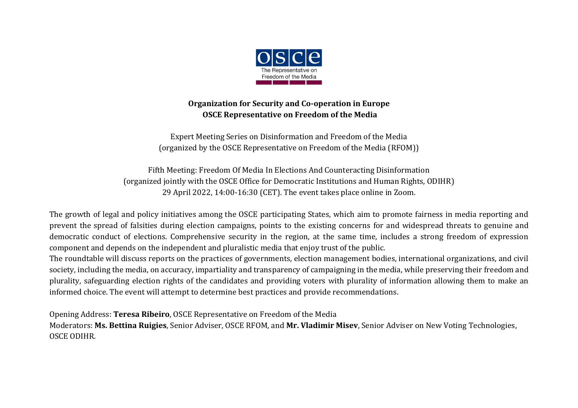

## **Organization for Security and Co-operation in Europe OSCE Representative on Freedom of the Media**

Expert Meeting Series on Disinformation and Freedom of the Media (organized by the OSCE Representative on Freedom of the Media (RFOM))

Fifth Meeting: Freedom Of Media In Elections And Counteracting Disinformation (organized jointly with the OSCE Office for Democratic Institutions and Human Rights, ODIHR) 29 April 2022, 14:00-16:30 (CET). The event takes place online in Zoom.

The growth of legal and policy initiatives among the OSCE participating States, which aim to promote fairness in media reporting and prevent the spread of falsities during election campaigns, points to the existing concerns for and widespread threats to genuine and democratic conduct of elections. Comprehensive security in the region, at the same time, includes a strong freedom of expression component and depends on the independent and pluralistic media that enjoy trust of the public.

The roundtable will discuss reports on the practices of governments, election management bodies, international organizations, and civil society, including the media, on accuracy, impartiality and transparency of campaigning in the media, while preserving their freedom and plurality, safeguarding election rights of the candidates and providing voters with plurality of information allowing them to make an informed choice. The event will attempt to determine best practices and provide recommendations.

Opening Address: **Teresa Ribeiro**, OSCE Representative on Freedom of the Media

Moderators: **Ms. Bettina Ruigies**, Senior Adviser, OSCE RFOM, and **Mr. Vladimir Misev**, Senior Adviser on New Voting Technologies, OSCE ODIHR.